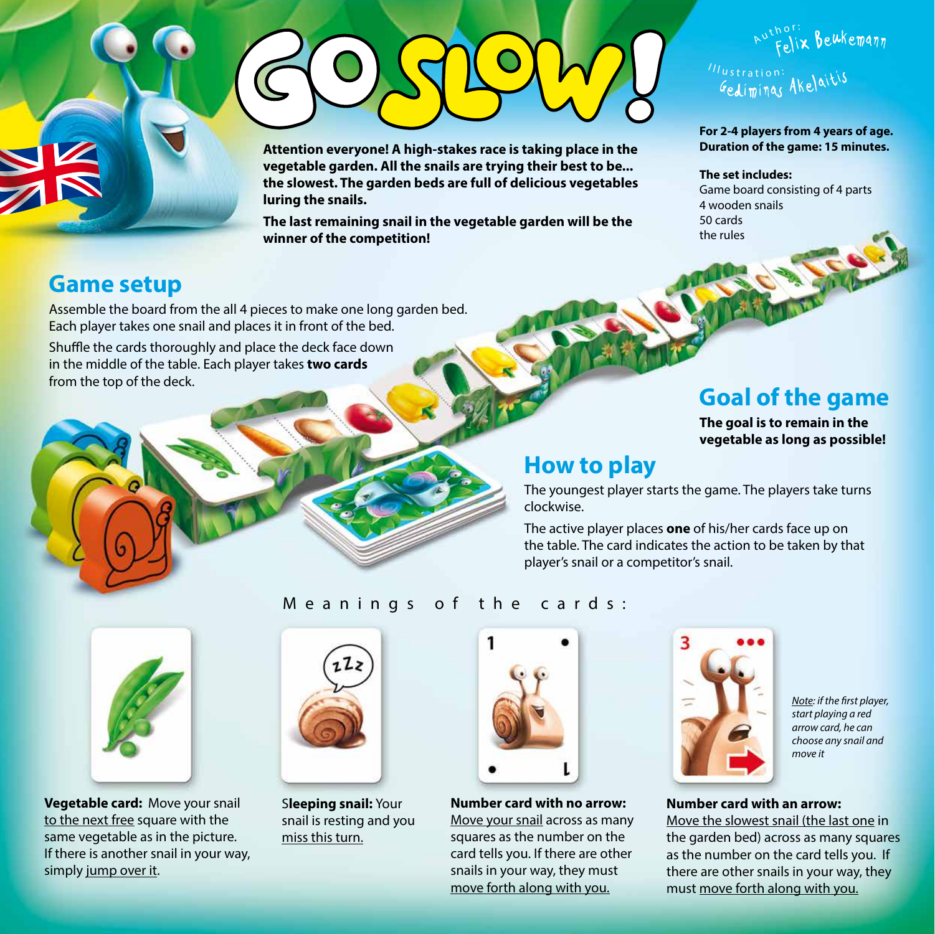**Attention everyone! A high-stakes race is taking place in the vegetable garden. All the snails are trying their best to be... the slowest. The garden beds are full of delicious vegetables luring the snails.** 

**The last remaining snail in the vegetable garden will be the winner of the competition!**

# Illustration: Gediminas Akelaitis

#### **For 2-4 players from 4 years of age. Duration of the game: 15 minutes.**

Wix Beukemann

#### **The set includes:**

A

Game board consisting of 4 parts 4 wooden snails 50 cards the rules

## **Game setup**

Assemble the board from the all 4 pieces to make one long garden bed. Each player takes one snail and places it in front of the bed.

Shuffle the cards thoroughly and place the deck face down in the middle of the table. Each player takes **two cards** from the top of the deck.

## **Goal of the game**

**The goal is to remain in the vegetable as long as possible!**

## **How to play**

The youngest player starts the game. The players take turns clockwise.

The active player places **one** of his/her cards face up on the table. The card indicates the action to be taken by that player's snail or a competitor's snail.



**Vegetable card:** Move your snail to the next free square with the same vegetable as in the picture. If there is another snail in your way, simply jump over it.



S**leeping snail:** Your snail is resting and you miss this turn.



**Number card with no arrow:**  Move your snail across as many squares as the number on the card tells you. If there are other snails in your way, they must move forth along with you.



*Note: if the first player, start playing a red arrow card, he can choose any snail and move it*

#### **Number card with an arrow:**

Move the slowest snail (the last one in the garden bed) across as many squares as the number on the card tells you. If there are other snails in your way, they must move forth along with you.

## Meanings of the cards: